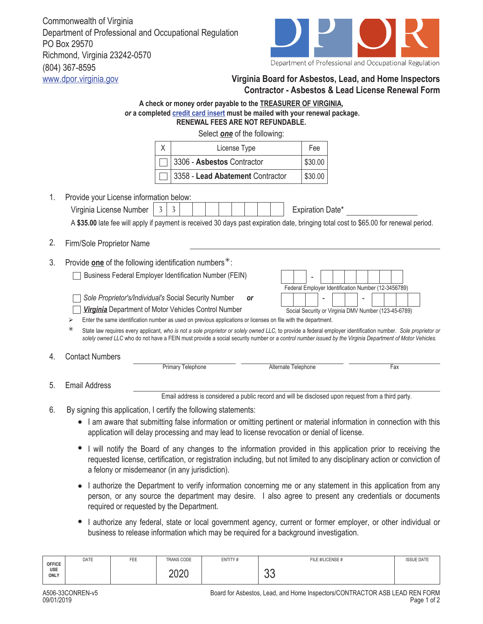Commonwealth of Virginia Department of Professional and Occupational Regulation PO Box 29570 Richmond, Virginia 23242-0570 (804) 367-8595



## www.dpor.virginia.gov **Virginia Board for Asbestos, Lead, and Home Inspectors Contractor - Asbestos & Lead License Renewal Form**

|                                                                                                                                                                                                                                                                   | A check or money order payable to the TREASURER OF VIRGINIA,<br>or a completed credit card insert must be mailed with your renewal package.<br>RENEWAL FEES ARE NOT REFUNDABLE.                                                                                                                                                                                                                                                                                                                                                                                                                                                                                                                                                                                                                                                                   |  |  |  |  |  |
|-------------------------------------------------------------------------------------------------------------------------------------------------------------------------------------------------------------------------------------------------------------------|---------------------------------------------------------------------------------------------------------------------------------------------------------------------------------------------------------------------------------------------------------------------------------------------------------------------------------------------------------------------------------------------------------------------------------------------------------------------------------------------------------------------------------------------------------------------------------------------------------------------------------------------------------------------------------------------------------------------------------------------------------------------------------------------------------------------------------------------------|--|--|--|--|--|
|                                                                                                                                                                                                                                                                   | Select <b>one</b> of the following:                                                                                                                                                                                                                                                                                                                                                                                                                                                                                                                                                                                                                                                                                                                                                                                                               |  |  |  |  |  |
|                                                                                                                                                                                                                                                                   | Χ<br>License Type<br>Fee                                                                                                                                                                                                                                                                                                                                                                                                                                                                                                                                                                                                                                                                                                                                                                                                                          |  |  |  |  |  |
|                                                                                                                                                                                                                                                                   | 3306 - Asbestos Contractor<br>\$30.00                                                                                                                                                                                                                                                                                                                                                                                                                                                                                                                                                                                                                                                                                                                                                                                                             |  |  |  |  |  |
|                                                                                                                                                                                                                                                                   | 3358 - Lead Abatement Contractor<br>\$30.00                                                                                                                                                                                                                                                                                                                                                                                                                                                                                                                                                                                                                                                                                                                                                                                                       |  |  |  |  |  |
| 1.                                                                                                                                                                                                                                                                | Provide your License information below:<br>Expiration Date*<br>Virginia License Number<br>3<br>$\mathbf{3}$<br>A \$35.00 late fee will apply if payment is received 30 days past expiration date, bringing total cost to \$65.00 for renewal period.                                                                                                                                                                                                                                                                                                                                                                                                                                                                                                                                                                                              |  |  |  |  |  |
| 2.                                                                                                                                                                                                                                                                | Firm/Sole Proprietor Name                                                                                                                                                                                                                                                                                                                                                                                                                                                                                                                                                                                                                                                                                                                                                                                                                         |  |  |  |  |  |
| 3.<br>4.                                                                                                                                                                                                                                                          | Provide one of the following identification numbers $*$ :<br>Business Federal Employer Identification Number (FEIN)<br>Federal Employer Identification Number (12-3456789)<br>Sole Proprietor's/Individual's Social Security Number<br><b>or</b><br>Virginia Department of Motor Vehicles Control Number<br>Social Security or Virginia DMV Number (123-45-6789)<br>Enter the same identification number as used on previous applications or licenses on file with the department.<br>⋗<br>⋇<br>State law requires every applicant, who is not a sole proprietor or solely owned LLC, to provide a federal employer identification number. Sole proprietor or<br>solely owned LLC who do not have a FEIN must provide a social security number or a control number issued by the Virginia Department of Motor Vehicles.<br><b>Contact Numbers</b> |  |  |  |  |  |
|                                                                                                                                                                                                                                                                   | <b>Primary Telephone</b><br>Alternate Telephone<br>Fax                                                                                                                                                                                                                                                                                                                                                                                                                                                                                                                                                                                                                                                                                                                                                                                            |  |  |  |  |  |
| 5.                                                                                                                                                                                                                                                                | <b>Email Address</b>                                                                                                                                                                                                                                                                                                                                                                                                                                                                                                                                                                                                                                                                                                                                                                                                                              |  |  |  |  |  |
|                                                                                                                                                                                                                                                                   | Email address is considered a public record and will be disclosed upon request from a third party.                                                                                                                                                                                                                                                                                                                                                                                                                                                                                                                                                                                                                                                                                                                                                |  |  |  |  |  |
| 6.                                                                                                                                                                                                                                                                | By signing this application, I certify the following statements:<br>I am aware that submitting false information or omitting pertinent or material information in connection with this<br>application will delay processing and may lead to license revocation or denial of license.<br>I will notify the Board of any changes to the information provided in this application prior to receiving the<br>requested license, certification, or registration including, but not limited to any disciplinary action or conviction of<br>a felony or misdemeanor (in any jurisdiction).                                                                                                                                                                                                                                                               |  |  |  |  |  |
| I authorize the Department to verify information concerning me or any statement in this application from any<br>person, or any source the department may desire. I also agree to present any credentials or documents<br>required or requested by the Department. |                                                                                                                                                                                                                                                                                                                                                                                                                                                                                                                                                                                                                                                                                                                                                                                                                                                   |  |  |  |  |  |

I authorize any federal, state or local government agency, current or former employer, or other individual or business to release information which may be required for a background investigation.

| <b>OFFICE</b><br>USE<br>ONLY | DATE | FEE | TRANS CODE | ENTITY# | FILE #/LICENSE # | <b>ISSUE DATE</b> |
|------------------------------|------|-----|------------|---------|------------------|-------------------|
|                              |      |     | 2020       |         | $\sim$<br>◡◡     |                   |

5.